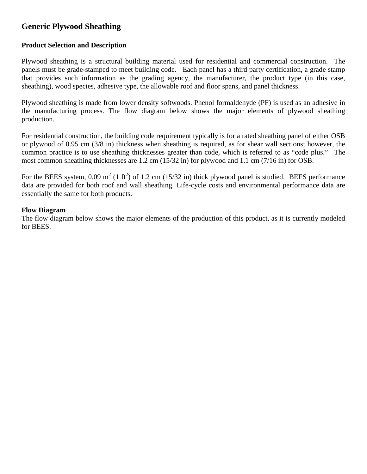# **Generic Plywood Sheathing**

## **Product Selection and Description**

Plywood sheathing is a structural building material used for residential and commercial construction. The panels must be grade-stamped to meet building code. Each panel has a third party certification, a grade stamp that provides such information as the grading agency, the manufacturer, the product type (in this case, sheathing), wood species, adhesive type, the allowable roof and floor spans, and panel thickness.

Plywood sheathing is made from lower density softwoods. Phenol formaldehyde (PF) is used as an adhesive in the manufacturing process. The flow diagram below shows the major elements of plywood sheathing production.

For residential construction, the building code requirement typically is for a rated sheathing panel of either OSB or plywood of 0.95 cm (3/8 in) thickness when sheathing is required, as for shear wall sections; however, the common practice is to use sheathing thicknesses greater than code, which is referred to as "code plus." The most common sheathing thicknesses are 1.2 cm (15/32 in) for plywood and 1.1 cm (7/16 in) for OSB.

For the BEES system, 0.09  $m^2$  (1 ft<sup>2</sup>) of 1.2 cm (15/32 in) thick plywood panel is studied. BEES performance data are provided for both roof and wall sheathing. Life-cycle costs and environmental performance data are essentially the same for both products.

#### **Flow Diagram**

The flow diagram below shows the major elements of the production of this product, as it is currently modeled for BEES.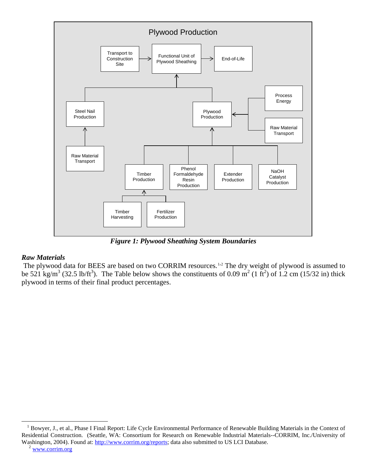

*Figure 1: Plywood Sheathing System Boundaries*

#### *Raw Materials*

The plywood data for BEES are based on two CORRIM resources.<sup>[1](#page-1-0),[2](#page-1-1)</sup> The dry weight of plywood is assumed to be 521 kg/m<sup>3</sup> (32.5 lb/ft<sup>3</sup>). The Table below shows the constituents of 0.09 m<sup>2</sup> (1 ft<sup>2</sup>) of 1.2 cm (15/32 in) thick plywood in terms of their final product percentages.

<span id="page-1-1"></span><span id="page-1-0"></span><sup>&</sup>lt;sup>1</sup> Bowyer, J., et al., Phase I Final Report: Life Cycle Environmental Performance of Renewable Building Materials in the Context of Residential Construction. (Seattle, WA: Consortium for Research on Renewable Industrial Materials--CORRIM, Inc./University of Washington, 2004). Found at: [http://www.corrim.org/reports;](http://www.corrim.org/reports) data also submitted to US LCI Database.<br><sup>2</sup> [www.corrim.org](http://www.corrim.org/)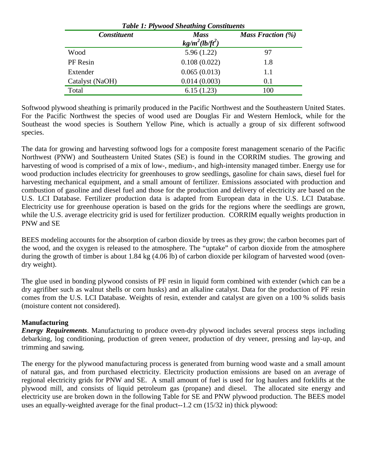| <b>Table 1: Plywood Sheathing Constituents</b> |                                  |                      |  |  |
|------------------------------------------------|----------------------------------|----------------------|--|--|
| <b>Constituent</b>                             | <b>Mass</b><br>$kg/m^2(lb/ft^2)$ | Mass Fraction $(\%)$ |  |  |
| Wood                                           | 5.96(1.22)                       | 97                   |  |  |
| PF Resin                                       | 0.108(0.022)                     | 1.8                  |  |  |
| Extender                                       | 0.065(0.013)                     | 1.1                  |  |  |
| Catalyst (NaOH)                                | 0.014(0.003)                     | 0.1                  |  |  |
| Total                                          | 6.15(1.23)                       | 100                  |  |  |

Softwood plywood sheathing is primarily produced in the Pacific Northwest and the Southeastern United States. For the Pacific Northwest the species of wood used are Douglas Fir and Western Hemlock, while for the Southeast the wood species is Southern Yellow Pine, which is actually a group of six different softwood species.

The data for growing and harvesting softwood logs for a composite forest management scenario of the Pacific Northwest (PNW) and Southeastern United States (SE) is found in the CORRIM studies. The growing and harvesting of wood is comprised of a mix of low-, medium-, and high-intensity managed timber. Energy use for wood production includes electricity for greenhouses to grow seedlings, gasoline for chain saws, diesel fuel for harvesting mechanical equipment, and a small amount of fertilizer. Emissions associated with production and combustion of gasoline and diesel fuel and those for the production and delivery of electricity are based on the U.S. LCI Database. Fertilizer production data is adapted from European data in the U.S. LCI Database. Electricity use for greenhouse operation is based on the grids for the regions where the seedlings are grown, while the U.S. average electricity grid is used for fertilizer production. CORRIM equally weights production in PNW and SE

BEES modeling accounts for the absorption of carbon dioxide by trees as they grow; the carbon becomes part of the wood, and the oxygen is released to the atmosphere. The "uptake" of carbon dioxide from the atmosphere during the growth of timber is about 1.84 kg (4.06 lb) of carbon dioxide per kilogram of harvested wood (ovendry weight).

The glue used in bonding plywood consists of PF resin in liquid form combined with extender (which can be a dry agrifiber such as walnut shells or corn husks) and an alkaline catalyst. Data for the production of PF resin comes from the U.S. LCI Database. Weights of resin, extender and catalyst are given on a 100 % solids basis (moisture content not considered).

## **Manufacturing**

*Energy Requirements*. Manufacturing to produce oven-dry plywood includes several process steps including debarking, log conditioning, production of green veneer, production of dry veneer, pressing and lay-up, and trimming and sawing.

The energy for the plywood manufacturing process is generated from burning wood waste and a small amount of natural gas, and from purchased electricity. Electricity production emissions are based on an average of regional electricity grids for PNW and SE. A small amount of fuel is used for log haulers and forklifts at the plywood mill, and consists of liquid petroleum gas (propane) and diesel. The allocated site energy and electricity use are broken down in the following Table for SE and PNW plywood production. The BEES model uses an equally-weighted average for the final product--1.2 cm (15/32 in) thick plywood: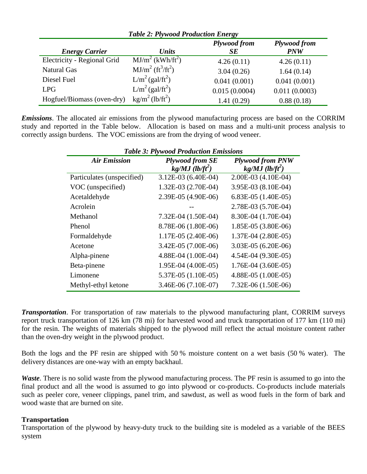| <b>Table 2: Plywood Production Energy</b> |                                          |                           |                            |  |
|-------------------------------------------|------------------------------------------|---------------------------|----------------------------|--|
| <b>Energy Carrier</b>                     | <b>Units</b>                             | Plywood from<br><b>SE</b> | Plywood from<br><b>PNW</b> |  |
| Electricity - Regional Grid               | MJ/m <sup>2</sup> (kWh/ft <sup>2</sup> ) | 4.26(0.11)                | 4.26(0.11)                 |  |
| <b>Natural Gas</b>                        | $MJ/m^{2} (ft^{3}/ft^{2})$               | 3.04(0.26)                | 1.64(0.14)                 |  |
| Diesel Fuel                               | $L/m^2$ (gal/ft <sup>2</sup> )           | 0.041(0.001)              | 0.041(0.001)               |  |
| LPG                                       | $L/m^2$ (gal/ft <sup>2</sup> )           | 0.015(0.0004)             | 0.011(0.0003)              |  |
| Hogfuel/Biomass (oven-dry)                | $\text{kg/m}^2$ (lb/ft <sup>2</sup> )    | 1.41(0.29)                | 0.88(0.18)                 |  |

*Emissions*. The allocated air emissions from the plywood manufacturing process are based on the CORRIM study and reported in the Table below. Allocation is based on mass and a multi-unit process analysis to correctly assign burdens. The VOC emissions are from the drying of wood veneer.

| <b>Table 3: Plywood Production Emissions</b> |                                                         |                                                          |  |  |
|----------------------------------------------|---------------------------------------------------------|----------------------------------------------------------|--|--|
| <b>Air Emission</b>                          | <b>Plywood from SE</b><br>$kg/MJ$ (lb/ft <sup>2</sup> ) | <b>Plywood from PNW</b><br>$kg/MJ$ (lb/ft <sup>2</sup> ) |  |  |
| Particulates (unspecified)                   | 3.12E-03 (6.40E-04)                                     | 2.00E-03 (4.10E-04)                                      |  |  |
| VOC (unspecified)                            | 1.32E-03 (2.70E-04)                                     | 3.95E-03 (8.10E-04)                                      |  |  |
| Acetaldehyde                                 | 2.39E-05 (4.90E-06)                                     | 6.83E-05 $(1.40E-05)$                                    |  |  |
| Acrolein                                     |                                                         | 2.78E-03 (5.70E-04)                                      |  |  |
| Methanol                                     | 7.32E-04 (1.50E-04)                                     | 8.30E-04 (1.70E-04)                                      |  |  |
| Phenol                                       | 8.78E-06 (1.80E-06)                                     | 1.85E-05 (3.80E-06)                                      |  |  |
| Formaldehyde                                 | 1.17E-05 (2.40E-06)                                     | 1.37E-04 (2.80E-05)                                      |  |  |
| Acetone                                      | 3.42E-05 (7.00E-06)                                     | 3.03E-05 (6.20E-06)                                      |  |  |
| Alpha-pinene                                 | 4.88E-04 (1.00E-04)                                     | 4.54E-04 (9.30E-05)                                      |  |  |
| Beta-pinene                                  | 1.95E-04 (4.00E-05)                                     | 1.76E-04 (3.60E-05)                                      |  |  |
| Limonene                                     | 5.37E-05 (1.10E-05)                                     | 4.88E-05 (1.00E-05)                                      |  |  |
| Methyl-ethyl ketone                          | 3.46E-06 (7.10E-07)                                     | 7.32E-06 (1.50E-06)                                      |  |  |

*Transportation*. For transportation of raw materials to the plywood manufacturing plant, CORRIM surveys report truck transportation of 126 km (78 mi) for harvested wood and truck transportation of 177 km (110 mi) for the resin. The weights of materials shipped to the plywood mill reflect the actual moisture content rather than the oven-dry weight in the plywood product.

Both the logs and the PF resin are shipped with 50 % moisture content on a wet basis (50 % water). The delivery distances are one-way with an empty backhaul.

*Waste*. There is no solid waste from the plywood manufacturing process. The PF resin is assumed to go into the final product and all the wood is assumed to go into plywood or co-products. Co-products include materials such as peeler core, veneer clippings, panel trim, and sawdust, as well as wood fuels in the form of bark and wood waste that are burned on site.

## **Transportation**

Transportation of the plywood by heavy-duty truck to the building site is modeled as a variable of the BEES system